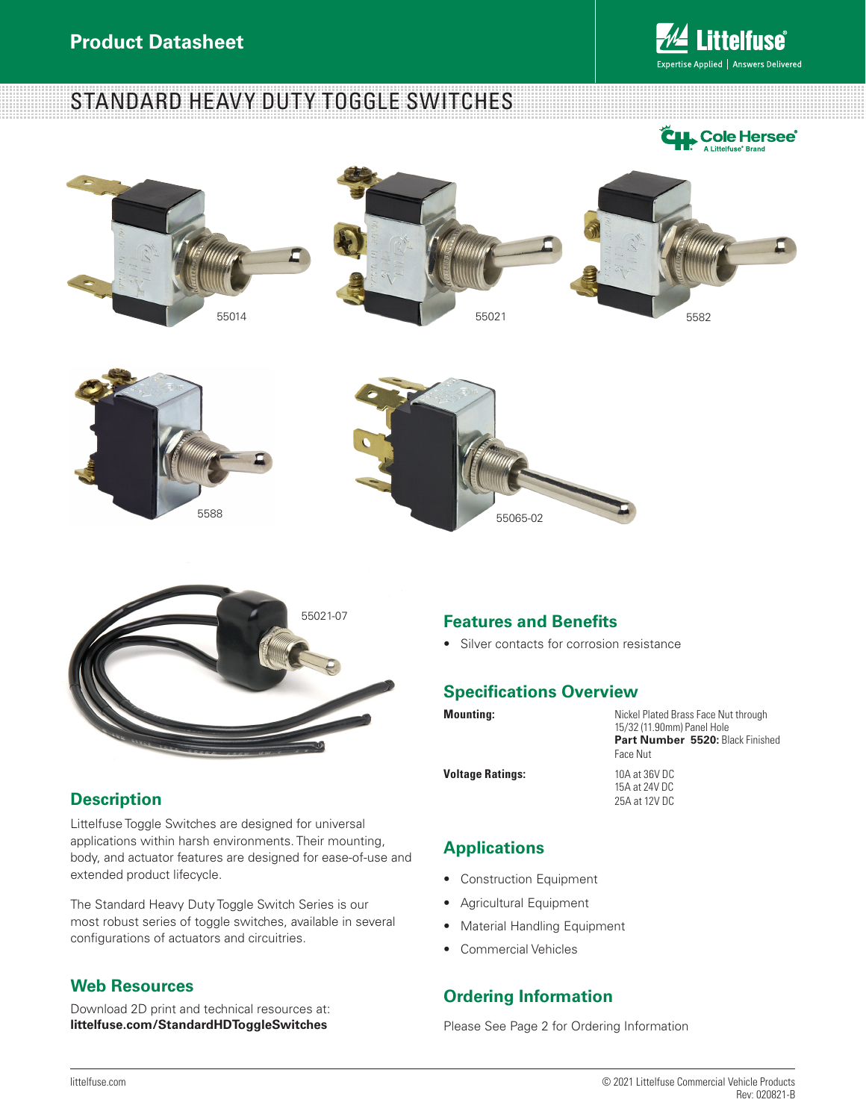

















## **Description**

Littelfuse Toggle Switches are designed for universal applications within harsh environments. Their mounting, body, and actuator features are designed for ease-of-use and extended product lifecycle.

The Standard Heavy Duty Toggle Switch Series is our most robust series of toggle switches, available in several configurations of actuators and circuitries.

## **Web Resources**

Download 2D print and technical resources at: **littelfuse.com/StandardHDToggleSwitches**

#### **Features and Benefits**

• Silver contacts for corrosion resistance

#### **Specifications Overview**

**Mounting:** Nickel Plated Brass Face Nut through 15/32 (11.90mm) Panel Hole **Part Number 5520:** Black Finished Face Nut **Voltage Ratings:** 10A at 36V DC

15A at 24V DC 25A at 12V DC

## **Applications**

- Construction Equipment
- Agricultural Equipment
- Material Handling Equipment
- Commercial Vehicles

#### **Ordering Information**

Please See Page 2 for Ordering Information